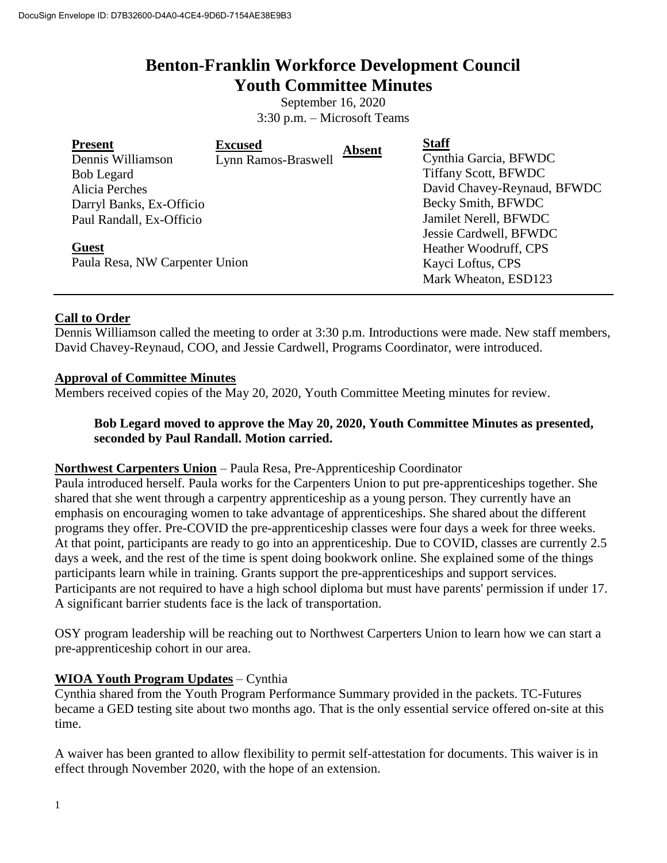# **Benton-Franklin Workforce Development Council Youth Committee Minutes**

September 16, 2020 3:30 p.m. – Microsoft Teams

| <b>Present</b>                 | <b>Excused</b>      | <b>Absent</b> | <b>Staff</b>                |
|--------------------------------|---------------------|---------------|-----------------------------|
| Dennis Williamson              | Lynn Ramos-Braswell |               | Cynthia Garcia, BFWDC       |
| <b>Bob Legard</b>              |                     |               | <b>Tiffany Scott, BFWDC</b> |
| Alicia Perches                 |                     |               | David Chavey-Reynaud, BFWDC |
| Darryl Banks, Ex-Officio       |                     |               | Becky Smith, BFWDC          |
| Paul Randall, Ex-Officio       |                     |               | Jamilet Nerell, BFWDC       |
|                                |                     |               | Jessie Cardwell, BFWDC      |
| <b>Guest</b>                   |                     |               | Heather Woodruff, CPS       |
| Paula Resa, NW Carpenter Union |                     |               | Kayci Loftus, CPS           |
|                                |                     |               | Mark Wheaton, ESD123        |

# **Call to Order**

Dennis Williamson called the meeting to order at 3:30 p.m. Introductions were made. New staff members, David Chavey-Reynaud, COO, and Jessie Cardwell, Programs Coordinator, were introduced.

#### **Approval of Committee Minutes**

Members received copies of the May 20, 2020, Youth Committee Meeting minutes for review.

# **Bob Legard moved to approve the May 20, 2020, Youth Committee Minutes as presented, seconded by Paul Randall. Motion carried.**

#### **Northwest Carpenters Union** – Paula Resa, Pre-Apprenticeship Coordinator

Paula introduced herself. Paula works for the Carpenters Union to put pre-apprenticeships together. She shared that she went through a carpentry apprenticeship as a young person. They currently have an emphasis on encouraging women to take advantage of apprenticeships. She shared about the different programs they offer. Pre-COVID the pre-apprenticeship classes were four days a week for three weeks. At that point, participants are ready to go into an apprenticeship. Due to COVID, classes are currently 2.5 days a week, and the rest of the time is spent doing bookwork online. She explained some of the things participants learn while in training. Grants support the pre-apprenticeships and support services. Participants are not required to have a high school diploma but must have parents' permission if under 17. A significant barrier students face is the lack of transportation.

OSY program leadership will be reaching out to Northwest Carperters Union to learn how we can start a pre-apprenticeship cohort in our area.

# **WIOA Youth Program Updates** – Cynthia

Cynthia shared from the Youth Program Performance Summary provided in the packets. TC-Futures became a GED testing site about two months ago. That is the only essential service offered on-site at this time.

A waiver has been granted to allow flexibility to permit self-attestation for documents. This waiver is in effect through November 2020, with the hope of an extension.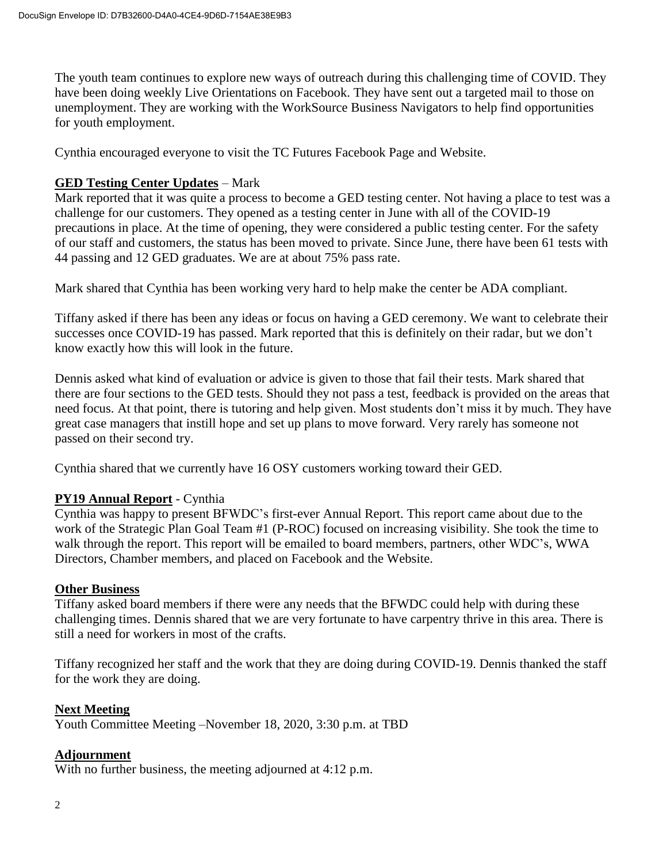The youth team continues to explore new ways of outreach during this challenging time of COVID. They have been doing weekly Live Orientations on Facebook. They have sent out a targeted mail to those on unemployment. They are working with the WorkSource Business Navigators to help find opportunities for youth employment.

Cynthia encouraged everyone to visit the TC Futures Facebook Page and Website.

# **GED Testing Center Updates** – Mark

Mark reported that it was quite a process to become a GED testing center. Not having a place to test was a challenge for our customers. They opened as a testing center in June with all of the COVID-19 precautions in place. At the time of opening, they were considered a public testing center. For the safety of our staff and customers, the status has been moved to private. Since June, there have been 61 tests with 44 passing and 12 GED graduates. We are at about 75% pass rate.

Mark shared that Cynthia has been working very hard to help make the center be ADA compliant.

Tiffany asked if there has been any ideas or focus on having a GED ceremony. We want to celebrate their successes once COVID-19 has passed. Mark reported that this is definitely on their radar, but we don't know exactly how this will look in the future.

Dennis asked what kind of evaluation or advice is given to those that fail their tests. Mark shared that there are four sections to the GED tests. Should they not pass a test, feedback is provided on the areas that need focus. At that point, there is tutoring and help given. Most students don't miss it by much. They have great case managers that instill hope and set up plans to move forward. Very rarely has someone not passed on their second try.

Cynthia shared that we currently have 16 OSY customers working toward their GED.

# **PY19 Annual Report** - Cynthia

Cynthia was happy to present BFWDC's first-ever Annual Report. This report came about due to the work of the Strategic Plan Goal Team #1 (P-ROC) focused on increasing visibility. She took the time to walk through the report. This report will be emailed to board members, partners, other WDC's, WWA Directors, Chamber members, and placed on Facebook and the Website.

# **Other Business**

Tiffany asked board members if there were any needs that the BFWDC could help with during these challenging times. Dennis shared that we are very fortunate to have carpentry thrive in this area. There is still a need for workers in most of the crafts.

Tiffany recognized her staff and the work that they are doing during COVID-19. Dennis thanked the staff for the work they are doing.

# **Next Meeting**

Youth Committee Meeting –November 18, 2020, 3:30 p.m. at TBD

# **Adjournment**

With no further business, the meeting adjourned at 4:12 p.m.